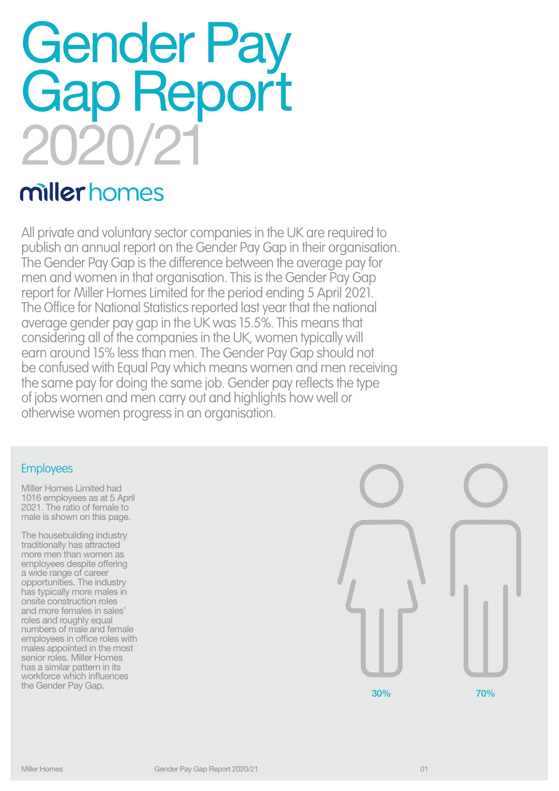# Gender Pay Gap Report 2020/21

# miller homes

All private and voluntary sector companies in the UK are required to publish an annual report on the Gender Pay Gap in their organisation. The Gender Pay Gap is the difference between the average pay for men and women in that organisation. This is the Gender Pay Gap report for Miller Homes Limited for the period ending 5 April 2021. The Office for National Statistics reported last year that the national average gender pay gap in the UK was 15.5%. This means that considering all of the companies in the UK, women typically will earn around 15% less than men. The Gender Pay Gap should not be confused with Equal Pay which means women and men receiving the same pay for doing the same job. Gender pay reflects the type of jobs women and men carry out and highlights how well or otherwise women progress in an organisation.

### **Employees**

Miller Homes Limited had 1016 employees as at 5 April 2021. The ratio of female to male is shown on this page.

The housebuilding industry traditionally has attracted more men than women as employees despite offering a wide range of career opportunities. The industry has typically more males in onsite construction roles and more females in sales' roles and roughly equal numbers of male and female employees in office roles with males appointed in the most senior roles. Miller Homes has a similar pattern in its workforce which influences<br>the Gender Pay Gap.

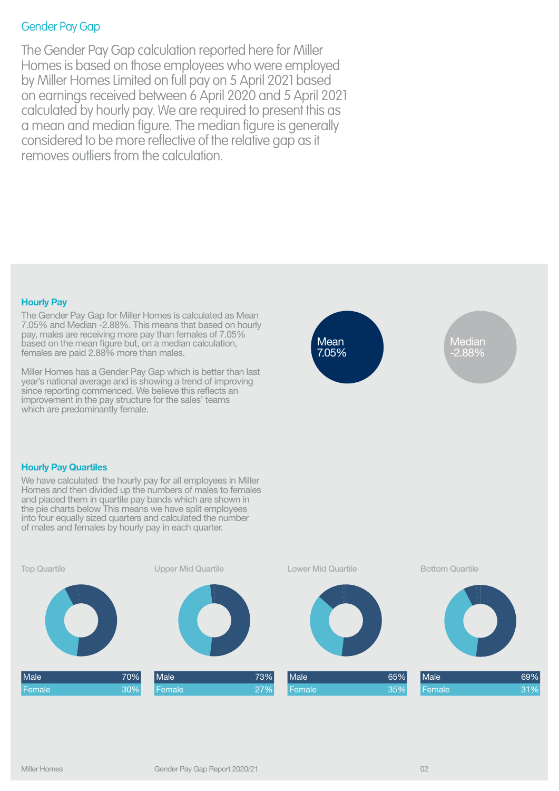# Gender Pay Gap

The Gender Pay Gap calculation reported here for Miller Homes is based on those employees who were employed by Miller Homes Limited on full pay on 5 April 2021 based on earnings received between 6 April 2020 and 5 April 2021 calculated by hourly pay. We are required to present this as a mean and median figure. The median figure is generally considered to be more reflective of the relative gap as it removes outliers from the calculation.

#### **Hourly Pay**

The Gender Pay Gap for Miller Homes is calculated as Mean 7.05% and Median -2.88%. This means that based on hourly pay, males are receiving more pay than females of 7.05% based on the mean figure but, on a median calculation, females are paid 2.88% more than males.

Miller Homes has a Gender Pay Gap which is better than last year's national average and is showing a trend of improving since reporting commenced. We believe this reflects an improvement in the pay structure for the sales' teams which are predominantly female.



Median -2.88%

#### **Hourly Pay Quartiles**

We have calculated the hourly pay for all employees in Miller Homes and then divided up the numbers of males to females and placed them in quartile pay bands which are shown in the pie charts below This means we have split employees into four equally sized quarters and calculated the number of males and females by hourly pay in each quarter.